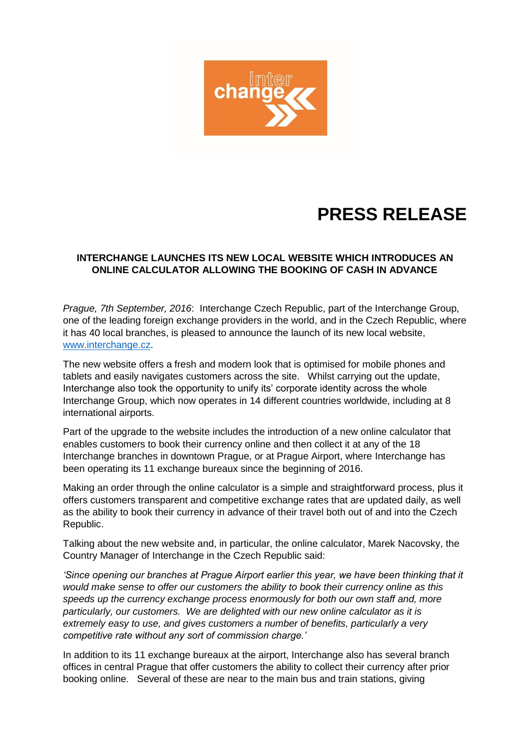

## **PRESS RELEASE**

## **INTERCHANGE LAUNCHES ITS NEW LOCAL WEBSITE WHICH INTRODUCES AN ONLINE CALCULATOR ALLOWING THE BOOKING OF CASH IN ADVANCE**

*Prague, 7th September, 2016*: Interchange Czech Republic, part of the Interchange Group, one of the leading foreign exchange providers in the world, and in the Czech Republic, where it has 40 local branches, is pleased to announce the launch of its new local website, [www.interchange.cz.](http://www.interchange.cz/)

The new website offers a fresh and modern look that is optimised for mobile phones and tablets and easily navigates customers across the site. Whilst carrying out the update, Interchange also took the opportunity to unify its' corporate identity across the whole Interchange Group, which now operates in 14 different countries worldwide, including at 8 international airports.

Part of the upgrade to the website includes the introduction of a new online calculator that enables customers to book their currency online and then collect it at any of the 18 Interchange branches in downtown Prague, or at Prague Airport, where Interchange has been operating its 11 exchange bureaux since the beginning of 2016.

Making an order through the online calculator is a simple and straightforward process, plus it offers customers transparent and competitive exchange rates that are updated daily, as well as the ability to book their currency in advance of their travel both out of and into the Czech Republic.

Talking about the new website and, in particular, the online calculator, Marek Nacovsky, the Country Manager of Interchange in the Czech Republic said:

*'Since opening our branches at Prague Airport earlier this year, we have been thinking that it would make sense to offer our customers the ability to book their currency online as this speeds up the currency exchange process enormously for both our own staff and, more particularly, our customers. We are delighted with our new online calculator as it is extremely easy to use, and gives customers a number of benefits, particularly a very competitive rate without any sort of commission charge.'*

In addition to its 11 exchange bureaux at the airport, Interchange also has several branch offices in central Prague that offer customers the ability to collect their currency after prior booking online. Several of these are near to the main bus and train stations, giving